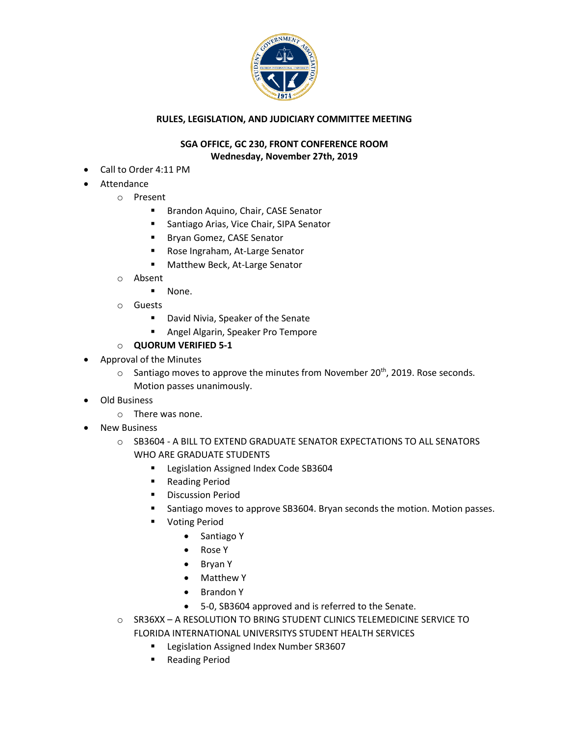

## **RULES, LEGISLATION, AND JUDICIARY COMMITTEE MEETING**

## **SGA OFFICE, GC 230, FRONT CONFERENCE ROOM Wednesday, November 27th, 2019**

- Call to Order 4:11 PM
- **Attendance** 
	- o Present
		- Brandon Aquino, Chair, CASE Senator
		- Santiago Arias, Vice Chair, SIPA Senator
		- Bryan Gomez, CASE Senator
		- Rose Ingraham, At-Large Senator
		- Matthew Beck, At-Large Senator
	- o Absent
		- None.
	- o Guests
		- David Nivia, Speaker of the Senate
		- Angel Algarin, Speaker Pro Tempore
	- o **QUORUM VERIFIED 5-1**
- Approval of the Minutes
	- $\circ$  Santiago moves to approve the minutes from November 20<sup>th</sup>, 2019. Rose seconds. Motion passes unanimously.
- Old Business
	- o There was none.
- **New Business** 
	- o SB3604 A BILL TO EXTEND GRADUATE SENATOR EXPECTATIONS TO ALL SENATORS WHO ARE GRADUATE STUDENTS
		- Legislation Assigned Index Code SB3604
		- Reading Period
		- Discussion Period
		- Santiago moves to approve SB3604. Bryan seconds the motion. Motion passes.
		- Voting Period
			- Santiago Y
			- Rose Y
			- Bryan Y
			- Matthew Y
			- Brandon Y
			- 5-0, SB3604 approved and is referred to the Senate.
	- o SR36XX A RESOLUTION TO BRING STUDENT CLINICS TELEMEDICINE SERVICE TO FLORIDA INTERNATIONAL UNIVERSITYS STUDENT HEALTH SERVICES
		- Legislation Assigned Index Number SR3607
		- Reading Period